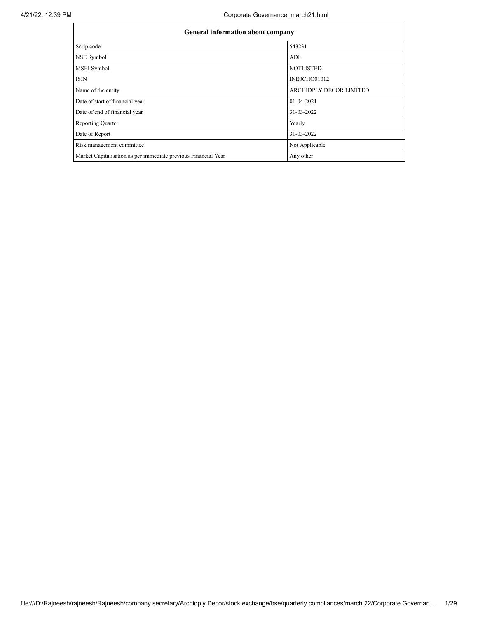| <b>General information about company</b>                       |                         |  |  |  |  |  |
|----------------------------------------------------------------|-------------------------|--|--|--|--|--|
| Scrip code                                                     | 543231                  |  |  |  |  |  |
| NSE Symbol                                                     | ADL                     |  |  |  |  |  |
| <b>MSEI</b> Symbol                                             | <b>NOTLISTED</b>        |  |  |  |  |  |
| <b>ISIN</b>                                                    | INEOCHO01012            |  |  |  |  |  |
| Name of the entity                                             | ARCHIDPLY DÉCOR LIMITED |  |  |  |  |  |
| Date of start of financial year                                | 01-04-2021              |  |  |  |  |  |
| Date of end of financial year                                  | 31-03-2022              |  |  |  |  |  |
| <b>Reporting Quarter</b>                                       | Yearly                  |  |  |  |  |  |
| Date of Report                                                 | 31-03-2022              |  |  |  |  |  |
| Risk management committee                                      | Not Applicable          |  |  |  |  |  |
| Market Capitalisation as per immediate previous Financial Year | Any other               |  |  |  |  |  |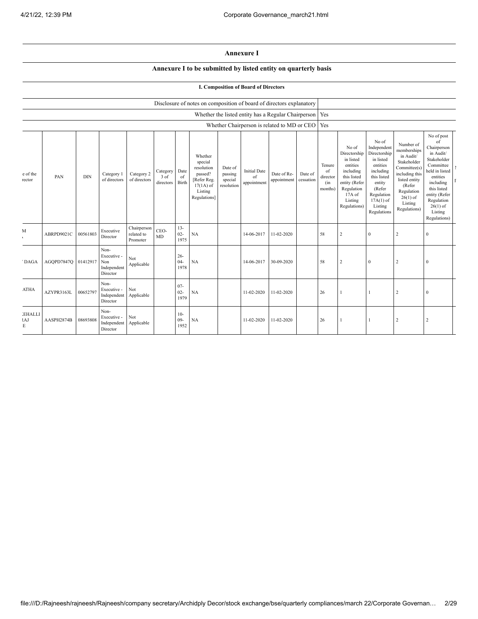**Annexure I**

## **Annexure I to be submitted by listed entity on quarterly basis**

**I. Composition of Board of Directors**

|                           |                     |            |                                                       |                                       |                                 |                                | Disclosure of notes on composition of board of directors explanatory                                 |                                             |                                          |                                                         |                      |                                            |                                                                                                                                                  |                                                                                                                                                                      |                                                                                                                                                                          |                                                                                                                                                                                                            |  |
|---------------------------|---------------------|------------|-------------------------------------------------------|---------------------------------------|---------------------------------|--------------------------------|------------------------------------------------------------------------------------------------------|---------------------------------------------|------------------------------------------|---------------------------------------------------------|----------------------|--------------------------------------------|--------------------------------------------------------------------------------------------------------------------------------------------------|----------------------------------------------------------------------------------------------------------------------------------------------------------------------|--------------------------------------------------------------------------------------------------------------------------------------------------------------------------|------------------------------------------------------------------------------------------------------------------------------------------------------------------------------------------------------------|--|
|                           |                     |            |                                                       |                                       |                                 |                                |                                                                                                      |                                             |                                          | Whether the listed entity has a Regular Chairperson Yes |                      |                                            |                                                                                                                                                  |                                                                                                                                                                      |                                                                                                                                                                          |                                                                                                                                                                                                            |  |
|                           |                     |            |                                                       |                                       |                                 |                                |                                                                                                      |                                             |                                          | Whether Chairperson is related to MD or CEO             |                      | Yes                                        |                                                                                                                                                  |                                                                                                                                                                      |                                                                                                                                                                          |                                                                                                                                                                                                            |  |
| e of the<br>rector        | PAN                 | <b>DIN</b> | Category 1<br>of directors                            | Category 2<br>of directors            | Category<br>$3$ of<br>directors | Date<br><sub>of</sub><br>Birth | Whether<br>special<br>resolution<br>passed?<br>[Refer Reg.<br>$17(1A)$ of<br>Listing<br>Regulations] | Date of<br>passing<br>special<br>resolution | <b>Initial Date</b><br>of<br>appointment | Date of Re-<br>appointment                              | Date of<br>cessation | Tenure<br>of<br>director<br>(in<br>months) | No of<br>Directorship<br>in listed<br>entities<br>including<br>this listed<br>entity (Refer<br>Regulation<br>$17A$ of<br>Listing<br>Regulations) | No of<br>Independent<br>Directorship<br>in listed<br>entities<br>including<br>this listed<br>entity<br>(Refer<br>Regulation<br>$17A(1)$ of<br>Listing<br>Regulations | Number of<br>memberships<br>in Audit/<br>Stakeholder<br>Committee(s)<br>including this<br>listed entity<br>(Refer<br>Regulation<br>$26(1)$ of<br>Listing<br>Regulations) | No of post<br>of<br>Chairperson<br>in Audit/<br>Stakeholder<br>Committee<br>held in listed<br>entities<br>including<br>this listed<br>entity (Refer<br>Regulation<br>$26(1)$ of<br>Listing<br>Regulations) |  |
| M                         | ABRPD9021C          | 00561803   | Executive<br>Director                                 | Chairperson<br>related to<br>Promoter | CEO-<br>MD                      | $13 -$<br>$02 -$<br>1975       | <b>NA</b>                                                                                            |                                             | 14-06-2017                               | 11-02-2020                                              |                      | 58                                         | 2                                                                                                                                                | $\bf{0}$                                                                                                                                                             | 2                                                                                                                                                                        | $\mathbf{0}$                                                                                                                                                                                               |  |
| DAGA                      | AGQPD7847Q 01412917 |            | Non-<br>Executive -<br>Non<br>Independent<br>Director | Not<br>Applicable                     |                                 | $26 -$<br>$04 -$<br>1978       | <b>NA</b>                                                                                            |                                             | 14-06-2017                               | 30-09-2020                                              |                      | 58                                         | 2                                                                                                                                                | $\mathbf{0}$                                                                                                                                                         | $\overline{c}$                                                                                                                                                           | $\Omega$                                                                                                                                                                                                   |  |
| <b>ATHA</b>               | AZYPR3163L          | 00652797   | Non-<br>Executive -<br>Independent<br>Director        | Not<br>Applicable                     |                                 | $07 -$<br>$02 -$<br>1979       | NA                                                                                                   |                                             | 11-02-2020                               | 11-02-2020                                              |                      | 26                                         |                                                                                                                                                  |                                                                                                                                                                      | $\overline{c}$                                                                                                                                                           | $\Omega$                                                                                                                                                                                                   |  |
| <b>EHALLI</b><br>tAJ<br>E | AASPH2874B          | 08693808   | Non-<br>Executive -<br>Independent<br>Director        | Not<br>Applicable                     |                                 | $10-$<br>$09 -$<br>1952        | <b>NA</b>                                                                                            |                                             | 11-02-2020                               | 11-02-2020                                              |                      | 26                                         |                                                                                                                                                  |                                                                                                                                                                      | $\overline{2}$                                                                                                                                                           | 2                                                                                                                                                                                                          |  |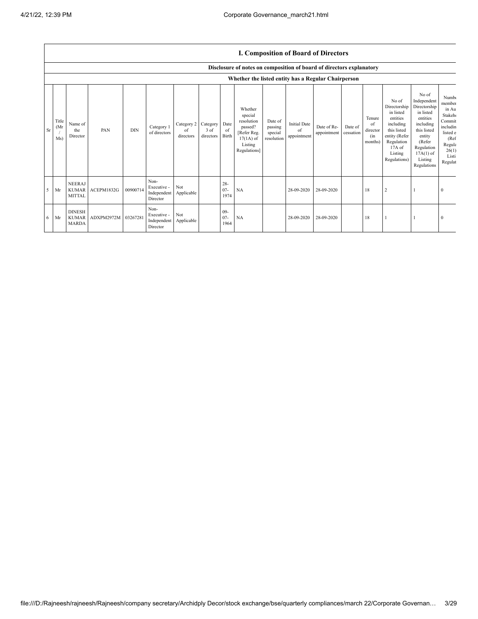## **I. Composition of Board of Directors**

|    |                      | Disclosure of notes on composition of board of directors explanatory |            |            |                                                |                               |                               |                          |                                                                                                      |                                             |                                          |                            |                      |                                             |                                                                                                                                                |                                                                                                                                                                      |                                                                                                                                  |
|----|----------------------|----------------------------------------------------------------------|------------|------------|------------------------------------------------|-------------------------------|-------------------------------|--------------------------|------------------------------------------------------------------------------------------------------|---------------------------------------------|------------------------------------------|----------------------------|----------------------|---------------------------------------------|------------------------------------------------------------------------------------------------------------------------------------------------|----------------------------------------------------------------------------------------------------------------------------------------------------------------------|----------------------------------------------------------------------------------------------------------------------------------|
|    |                      |                                                                      |            |            |                                                |                               |                               |                          | Whether the listed entity has a Regular Chairperson                                                  |                                             |                                          |                            |                      |                                             |                                                                                                                                                |                                                                                                                                                                      |                                                                                                                                  |
| Sr | Title<br>(Mr)<br>Ms) | Name of<br>the<br>Director                                           | PAN        | <b>DIN</b> | Category 1<br>of directors                     | Category 2<br>of<br>directors | Category<br>3 of<br>directors | Date<br>of<br>Birth      | Whether<br>special<br>resolution<br>passed?<br>[Refer Reg.<br>$17(1A)$ of<br>Listing<br>Regulations] | Date of<br>passing<br>special<br>resolution | <b>Initial Date</b><br>of<br>appointment | Date of Re-<br>appointment | Date of<br>cessation | Tenure<br>of<br>director<br>(in)<br>months) | No of<br>Directorship<br>in listed<br>entities<br>including<br>this listed<br>entity (Refer<br>Regulation<br>17A of<br>Listing<br>Regulations) | No of<br>Independent<br>Directorship<br>in listed<br>entities<br>including<br>this listed<br>entity<br>(Refer<br>Regulation<br>$17A(1)$ of<br>Listing<br>Regulations | Numb <sub>(</sub><br>member<br>in Au<br>Stakeho<br>Commit<br>includin<br>listed e<br>(Ref<br>Regula<br>26(1)<br>Listi<br>Regulat |
| 5  | Mr                   | <b>NEERAJ</b><br>KUMAR<br><b>MITTAL</b>                              | ACEPM1832G | 00900714   | Non-<br>Executive -<br>Independent<br>Director | Not<br>Applicable             |                               | $28 -$<br>$07 -$<br>1974 | NA                                                                                                   |                                             | 28-09-2020                               | 28-09-2020                 |                      | 18                                          | $\overline{2}$                                                                                                                                 |                                                                                                                                                                      | $\Omega$                                                                                                                         |
| 6  | Mr                   | <b>DINESH</b><br><b>KUMAR</b><br><b>MARDA</b>                        | ADXPM2972M | 03267281   | Non-<br>Executive -<br>Independent<br>Director | Not<br>Applicable             |                               | $09 -$<br>$07 -$<br>1964 | <b>NA</b>                                                                                            |                                             | 28-09-2020                               | 28-09-2020                 |                      | 18                                          |                                                                                                                                                |                                                                                                                                                                      | $\bf{0}$                                                                                                                         |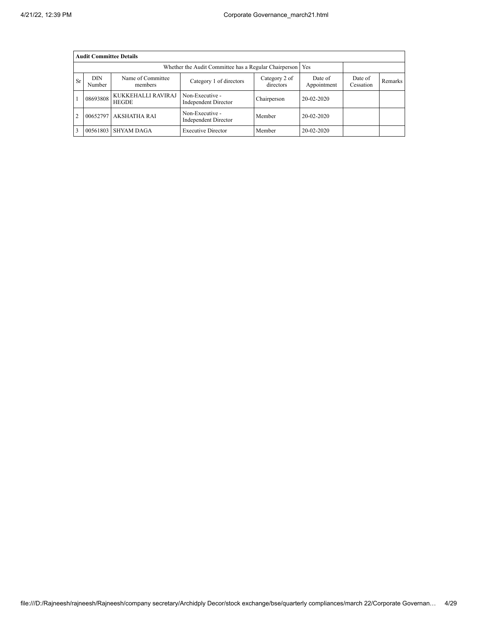|                | <b>Audit Committee Details</b>                              |                                    |                                                |                      |                |  |  |  |  |  |
|----------------|-------------------------------------------------------------|------------------------------------|------------------------------------------------|----------------------|----------------|--|--|--|--|--|
|                | Whether the Audit Committee has a Regular Chairperson   Yes |                                    |                                                |                      |                |  |  |  |  |  |
| <b>Sr</b>      | <b>DIN</b><br>Number                                        | Name of Committee<br>members       | Date of<br>Appointment                         | Date of<br>Cessation | <b>Remarks</b> |  |  |  |  |  |
| -1             | 08693808                                                    | KUKKEHALLI RAVIRAJ<br><b>HEGDE</b> | Non-Executive -<br>Independent Director        | Chairperson          | 20-02-2020     |  |  |  |  |  |
| $\overline{c}$ |                                                             | 00652797 AKSHATHA RAI              | Non-Executive -<br><b>Independent Director</b> | Member               | $20-02-2020$   |  |  |  |  |  |
| 3              |                                                             | 00561803 SHYAM DAGA                | <b>Executive Director</b>                      | Member               | 20-02-2020     |  |  |  |  |  |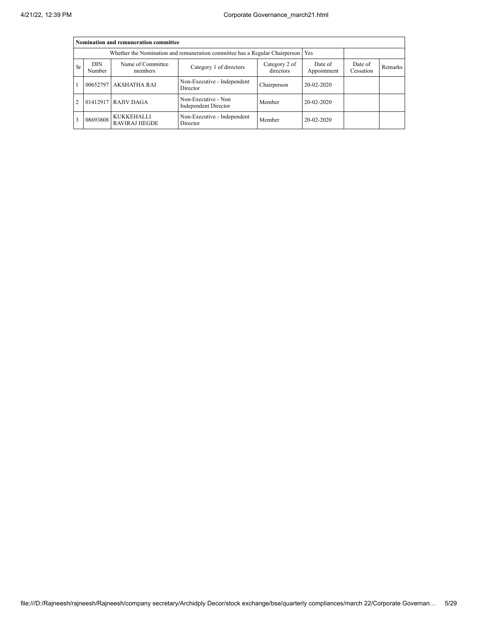|                | Nomination and remuneration committee |                                                                                   |                                                    |                        |                      |         |  |  |  |  |
|----------------|---------------------------------------|-----------------------------------------------------------------------------------|----------------------------------------------------|------------------------|----------------------|---------|--|--|--|--|
|                |                                       | Whether the Nomination and remuneration committee has a Regular Chairperson   Yes |                                                    |                        |                      |         |  |  |  |  |
| <b>Sr</b>      | <b>DIN</b><br>Number                  | Name of Committee<br>members                                                      | Category 2 of<br>directors                         | Date of<br>Appointment | Date of<br>Cessation | Remarks |  |  |  |  |
|                |                                       | 00652797 AKSHATHA RAI                                                             | Non-Executive - Independent<br>Director            | Chairperson            | $20-02-2020$         |         |  |  |  |  |
| $\overline{c}$ |                                       | 01412917 RAJIV DAGA                                                               | Non-Executive - Non<br><b>Independent Director</b> | Member                 | $20 - 02 - 2020$     |         |  |  |  |  |
| 3              | 08693808                              | <b>KUKKEHALLI</b><br><b>RAVIRAJ HEGDE</b>                                         | Non-Executive - Independent<br>Director            | Member                 | $20 - 02 - 2020$     |         |  |  |  |  |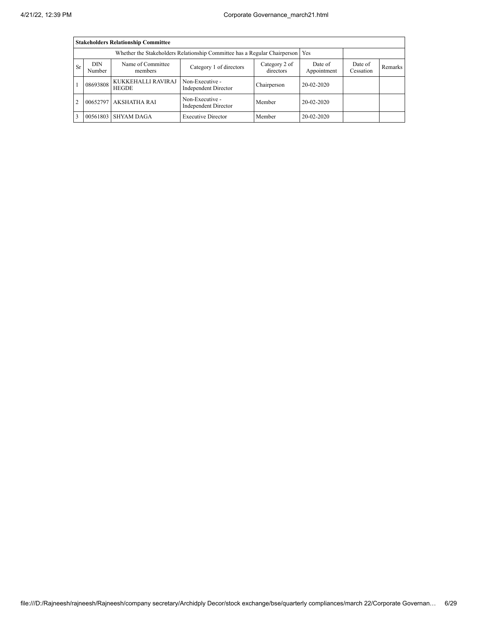| <b>Stakeholders Relationship Committee</b>                                                                                                                                       |                                                                                 |                             |                                                |             |              |  |  |  |  |  |
|----------------------------------------------------------------------------------------------------------------------------------------------------------------------------------|---------------------------------------------------------------------------------|-----------------------------|------------------------------------------------|-------------|--------------|--|--|--|--|--|
|                                                                                                                                                                                  | Whether the Stakeholders Relationship Committee has a Regular Chairperson   Yes |                             |                                                |             |              |  |  |  |  |  |
| Name of Committee<br>DIN<br>Category 2 of<br>Date of<br>Date of<br><b>Sr</b><br>Category 1 of directors<br>Remarks<br>directors<br>Appointment<br>Cessation<br>Number<br>members |                                                                                 |                             |                                                |             |              |  |  |  |  |  |
|                                                                                                                                                                                  | 08693808                                                                        | KUKKEHALLI RAVIRAJ<br>HEGDE | Non-Executive -<br><b>Independent Director</b> | Chairperson | $20-02-2020$ |  |  |  |  |  |
| $\overline{2}$                                                                                                                                                                   | 00652797                                                                        | <b>AKSHATHA RAI</b>         | Non-Executive -<br>Independent Director        | Member      | 20-02-2020   |  |  |  |  |  |
| 3                                                                                                                                                                                | 00561803                                                                        | <b>SHYAM DAGA</b>           | <b>Executive Director</b>                      | Member      | 20-02-2020   |  |  |  |  |  |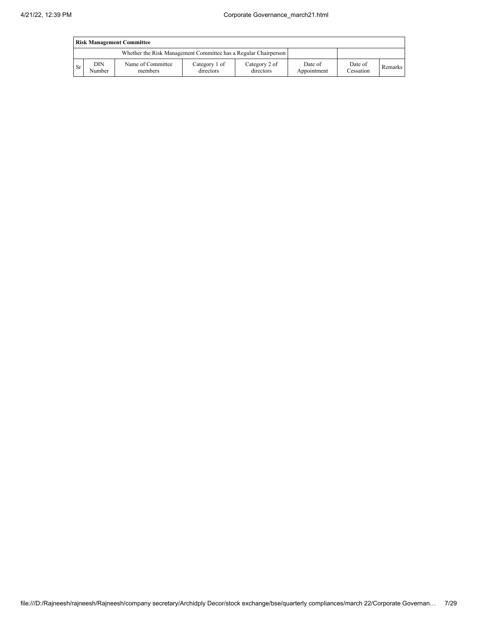|           | <b>Risk Management Committee</b> |                                                                 |                            |                            |                        |                      |         |  |
|-----------|----------------------------------|-----------------------------------------------------------------|----------------------------|----------------------------|------------------------|----------------------|---------|--|
|           |                                  | Whether the Risk Management Committee has a Regular Chairperson |                            |                            |                        |                      |         |  |
| <b>Sr</b> | DIN<br>Number                    | Name of Committee<br>members                                    | Category 1 of<br>directors | Category 2 of<br>directors | Date of<br>Appointment | Date of<br>Cessation | Remarks |  |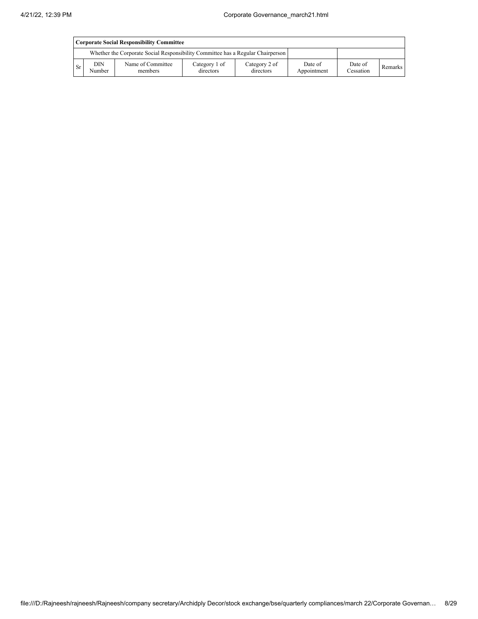| Corporate Social Responsibility Committee |               |                                                                                 |                            |                            |                        |                      |         |
|-------------------------------------------|---------------|---------------------------------------------------------------------------------|----------------------------|----------------------------|------------------------|----------------------|---------|
|                                           |               | Whether the Corporate Social Responsibility Committee has a Regular Chairperson |                            |                            |                        |                      |         |
| <sub>Sr</sub>                             | DIN<br>Number | Name of Committee<br>members                                                    | Category 1 of<br>directors | Category 2 of<br>directors | Date of<br>Appointment | Date of<br>Cessation | Remarks |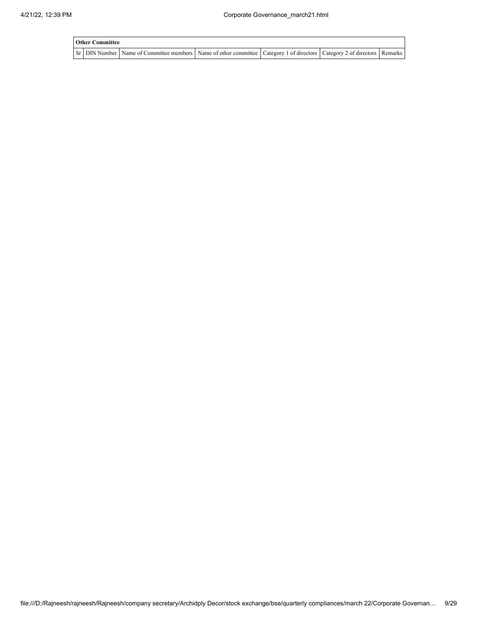| <b>Other Committee</b> |                                                                                                                         |  |  |
|------------------------|-------------------------------------------------------------------------------------------------------------------------|--|--|
|                        | Sr DIN Number Name of Committee members Name of other committee Category 1 of directors Category 2 of directors Remarks |  |  |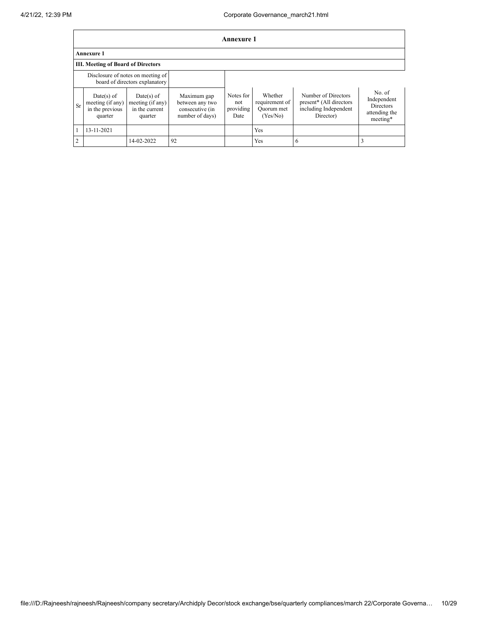|                | <b>Annexure 1</b>                                                   |                                                               |                                                                      |                                       |                                                     |                                                                                                  |                                                                 |  |  |  |
|----------------|---------------------------------------------------------------------|---------------------------------------------------------------|----------------------------------------------------------------------|---------------------------------------|-----------------------------------------------------|--------------------------------------------------------------------------------------------------|-----------------------------------------------------------------|--|--|--|
|                | Annexure 1                                                          |                                                               |                                                                      |                                       |                                                     |                                                                                                  |                                                                 |  |  |  |
|                | <b>III. Meeting of Board of Directors</b>                           |                                                               |                                                                      |                                       |                                                     |                                                                                                  |                                                                 |  |  |  |
|                | Disclosure of notes on meeting of<br>board of directors explanatory |                                                               |                                                                      |                                       |                                                     |                                                                                                  |                                                                 |  |  |  |
| <b>Sr</b>      | Date(s) of<br>meeting (if any)<br>in the previous<br>quarter        | $Date(s)$ of<br>meeting (if any)<br>in the current<br>quarter | Maximum gap<br>between any two<br>consecutive (in<br>number of days) | Notes for<br>not<br>providing<br>Date | Whether<br>requirement of<br>Ouorum met<br>(Yes/No) | Number of Directors<br>present <sup>*</sup> (All directors<br>including Independent<br>Director) | No. of<br>Independent<br>Directors<br>attending the<br>meeting* |  |  |  |
|                | 13-11-2021                                                          |                                                               |                                                                      |                                       | Yes                                                 |                                                                                                  |                                                                 |  |  |  |
| $\overline{2}$ |                                                                     | 14-02-2022                                                    | 92                                                                   |                                       | Yes                                                 | 6                                                                                                |                                                                 |  |  |  |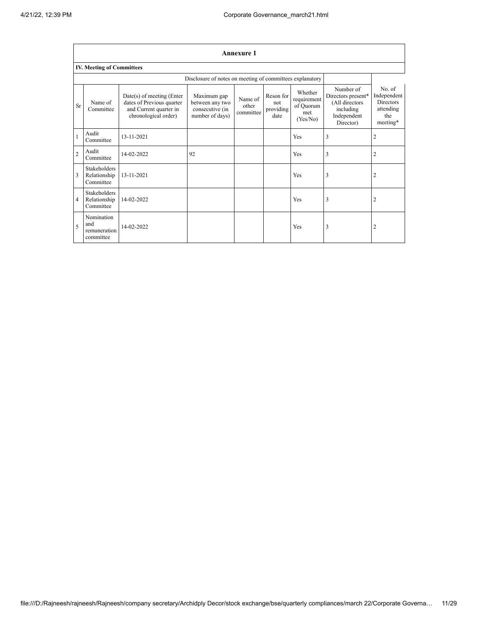|                | <b>Annexure 1</b>                                |                                                                                                            |                                                                      |                               |                                       |                                                        |                                                                                             |                                                                           |
|----------------|--------------------------------------------------|------------------------------------------------------------------------------------------------------------|----------------------------------------------------------------------|-------------------------------|---------------------------------------|--------------------------------------------------------|---------------------------------------------------------------------------------------------|---------------------------------------------------------------------------|
|                | <b>IV. Meeting of Committees</b>                 |                                                                                                            |                                                                      |                               |                                       |                                                        |                                                                                             |                                                                           |
|                |                                                  |                                                                                                            | Disclosure of notes on meeting of committees explanatory             |                               |                                       |                                                        |                                                                                             |                                                                           |
| <b>Sr</b>      | Name of<br>Committee                             | $Date(s)$ of meeting (Enter<br>dates of Previous quarter<br>and Current quarter in<br>chronological order) | Maximum gap<br>between any two<br>consecutive (in<br>number of days) | Name of<br>other<br>committee | Reson for<br>not<br>providing<br>date | Whether<br>requirement<br>of Quorum<br>met<br>(Yes/No) | Number of<br>Directors present*<br>(All directors)<br>including<br>Independent<br>Director) | No. of<br>Independent<br><b>Directors</b><br>attending<br>the<br>meeting* |
| $\mathbf{1}$   | Audit<br>Committee                               | 13-11-2021                                                                                                 |                                                                      |                               |                                       | Yes                                                    | 3                                                                                           | $\overline{c}$                                                            |
| $\overline{2}$ | Audit<br>Committee                               | 14-02-2022                                                                                                 | 92                                                                   |                               |                                       | Yes                                                    | 3                                                                                           | $\overline{c}$                                                            |
| 3              | <b>Stakeholders</b><br>Relationship<br>Committee | 13-11-2021                                                                                                 |                                                                      |                               |                                       | Yes                                                    | 3                                                                                           | 2                                                                         |
| $\overline{4}$ | Stakeholders<br>Relationship<br>Committee        | 14-02-2022                                                                                                 |                                                                      |                               |                                       | <b>Yes</b>                                             | 3                                                                                           | 2                                                                         |
| 5              | Nomination<br>and<br>remuneration<br>committee   | 14-02-2022                                                                                                 |                                                                      |                               |                                       | Yes                                                    | 3                                                                                           | 2                                                                         |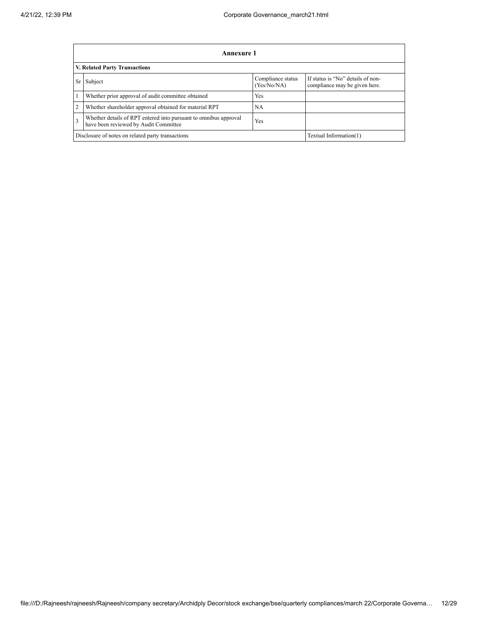|                | Annexure 1                                                                                                        |           |  |  |  |  |  |  |  |
|----------------|-------------------------------------------------------------------------------------------------------------------|-----------|--|--|--|--|--|--|--|
|                | <b>V. Related Party Transactions</b>                                                                              |           |  |  |  |  |  |  |  |
| <b>Sr</b>      | If status is "No" details of non-<br>Compliance status<br>Subject<br>(Yes/No/NA)<br>compliance may be given here. |           |  |  |  |  |  |  |  |
|                | Whether prior approval of audit committee obtained                                                                | Yes       |  |  |  |  |  |  |  |
| $\overline{2}$ | Whether shareholder approval obtained for material RPT                                                            | <b>NA</b> |  |  |  |  |  |  |  |
| $\overline{3}$ | Whether details of RPT entered into pursuant to omnibus approval<br>have been reviewed by Audit Committee         |           |  |  |  |  |  |  |  |
|                | Disclosure of notes on related party transactions<br>Textual Information(1)                                       |           |  |  |  |  |  |  |  |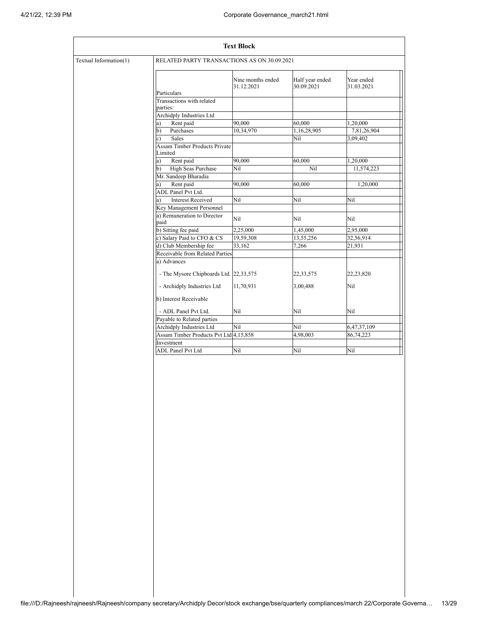| Textual Information(1) | RELATED PARTY TRANSACTIONS AS ON 30.09.2021     |                                 |                               |                          |
|------------------------|-------------------------------------------------|---------------------------------|-------------------------------|--------------------------|
|                        |                                                 | Nine months ended<br>31.12.2021 | Half year ended<br>30.09.2021 | Year ended<br>31.03.2021 |
|                        | Particulars                                     |                                 |                               |                          |
|                        | Transactions with related<br>parties:           |                                 |                               |                          |
|                        | Archidply Industries Ltd                        |                                 |                               |                          |
|                        | Rent paid<br>a)                                 | 90,000                          | 60,000                        | 1,20,000                 |
|                        | Purchases<br>b)                                 | 10,34,970                       | 1,16,28,905                   | 7,81,26,904              |
|                        | Sales<br>$\mathbf{c}$                           |                                 | Nil                           | 3,09,402                 |
|                        | <b>Assam Timber Products Private</b><br>Limited |                                 |                               |                          |
|                        | Rent paid<br>a)                                 | 90,000                          | 60,000                        | 1,20,000                 |
|                        | High Seas Purchase<br>b)                        | Nil                             | Nil                           | 11,574,223               |
|                        | Mr. Sandeep Bharadia                            |                                 |                               |                          |
|                        | Rent paid<br>a)                                 | 90,000                          | 60,000                        | 1,20,000                 |
|                        | ADL Panel Pvt Ltd.                              |                                 |                               |                          |
|                        | <b>Interest Received</b><br>a)                  | Nil                             | Nil                           | Nil                      |
|                        | Key Management Personnel                        |                                 |                               |                          |
|                        | a) Remuneration to Director<br>paid             | Nil                             | Nil                           | Nil                      |
|                        | b) Sitting fee paid                             | 2,25,000                        | 1,45,000                      | 2,95,000                 |
|                        | c) Salary Paid to CFO & CS                      | 19,59,308                       | 13,55,256                     | 32,56,914                |
|                        | d) Club Membership fee                          | 33,162                          | 7,266                         | 21,931                   |
|                        | Receivable from Related Parties                 |                                 |                               |                          |
|                        | a) Advances                                     |                                 |                               |                          |
|                        | - The Mysore Chipboards Ltd. 22,33,575          |                                 | 22, 33, 575                   | 22,23,820                |
|                        | - Archidply Industries Ltd                      | 11,70,931                       | 3,00,488                      | Nil                      |
|                        | b) Interest Receivable                          |                                 |                               |                          |
|                        | - ADL Panel Pvt Ltd.                            | Nil                             | Nil                           | Nil                      |
|                        | Payable to Related parties                      |                                 |                               |                          |
|                        | Archidply Industries Ltd                        | Nil                             | Nil                           | 6,47,37,109              |
|                        | Assam Timber Products Pvt Ltd 4,15,858          |                                 | 4,98,003                      | 86,74,223                |
|                        | Investment                                      |                                 |                               |                          |
|                        | <b>ADL</b> Panel Pvt Ltd                        | Nil                             | Nil                           | Nil                      |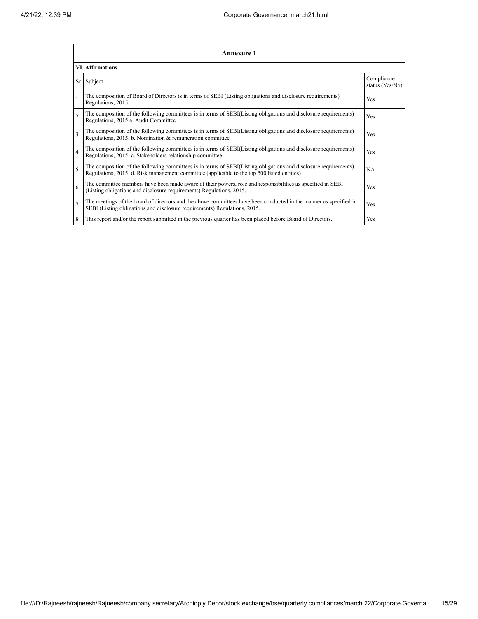|                         | Annexure 1                                                                                                                                                                                                      |                               |  |  |  |  |  |
|-------------------------|-----------------------------------------------------------------------------------------------------------------------------------------------------------------------------------------------------------------|-------------------------------|--|--|--|--|--|
|                         | <b>VI. Affirmations</b>                                                                                                                                                                                         |                               |  |  |  |  |  |
| Sr                      | Subject                                                                                                                                                                                                         | Compliance<br>status (Yes/No) |  |  |  |  |  |
|                         | The composition of Board of Directors is in terms of SEBI (Listing obligations and disclosure requirements)<br>Regulations, 2015                                                                                | Yes                           |  |  |  |  |  |
| $\overline{c}$          | The composition of the following committees is in terms of SEBI(Listing obligations and disclosure requirements)<br>Regulations, 2015 a. Audit Committee                                                        | <b>Yes</b>                    |  |  |  |  |  |
| $\overline{\mathbf{3}}$ | The composition of the following committees is in terms of SEBI(Listing obligations and disclosure requirements)<br>Regulations, 2015. b. Nomination & remuneration committee                                   | Yes                           |  |  |  |  |  |
| $\overline{4}$          | The composition of the following committees is in terms of SEBI(Listing obligations and disclosure requirements)<br>Regulations, 2015. c. Stakeholders relationship committee                                   | Yes                           |  |  |  |  |  |
| 5                       | The composition of the following committees is in terms of SEBI(Listing obligations and disclosure requirements)<br>Regulations, 2015. d. Risk management committee (applicable to the top 500 listed entities) | <b>NA</b>                     |  |  |  |  |  |
| 6                       | The committee members have been made aware of their powers, role and responsibilities as specified in SEBI<br>(Listing obligations and disclosure requirements) Regulations, 2015.                              | <b>Yes</b>                    |  |  |  |  |  |
| $\overline{7}$          | The meetings of the board of directors and the above committees have been conducted in the manner as specified in<br>SEBI (Listing obligations and disclosure requirements) Regulations, 2015.                  | Yes                           |  |  |  |  |  |
| 8                       | This report and/or the report submitted in the previous quarter has been placed before Board of Directors.                                                                                                      | Yes                           |  |  |  |  |  |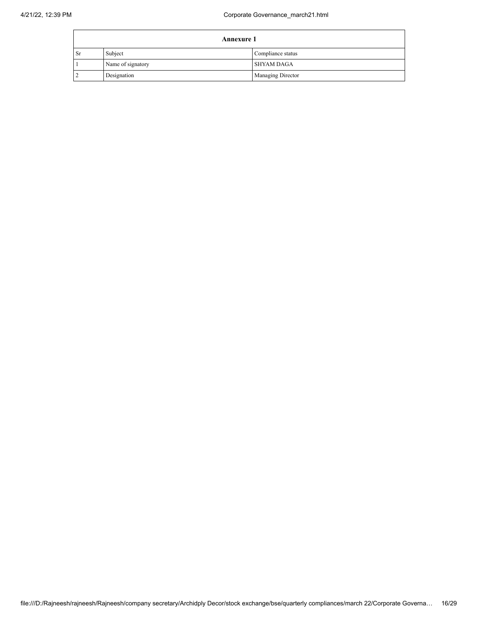|    | <b>Annexure 1</b> |                          |  |  |  |
|----|-------------------|--------------------------|--|--|--|
| Sr | Subject           | Compliance status        |  |  |  |
|    | Name of signatory | <b>SHYAM DAGA</b>        |  |  |  |
|    | Designation       | <b>Managing Director</b> |  |  |  |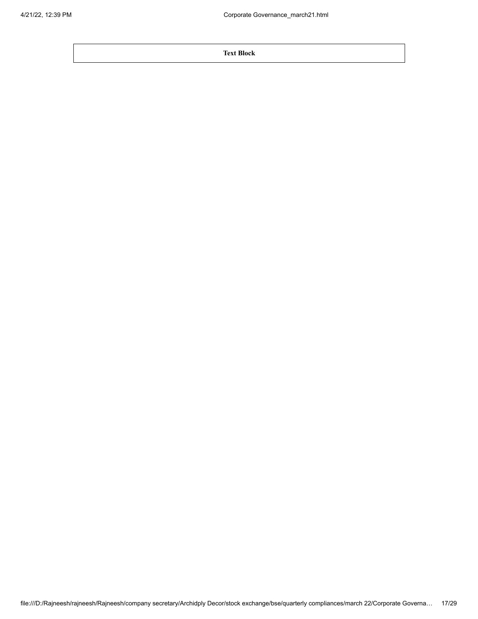**Text Block**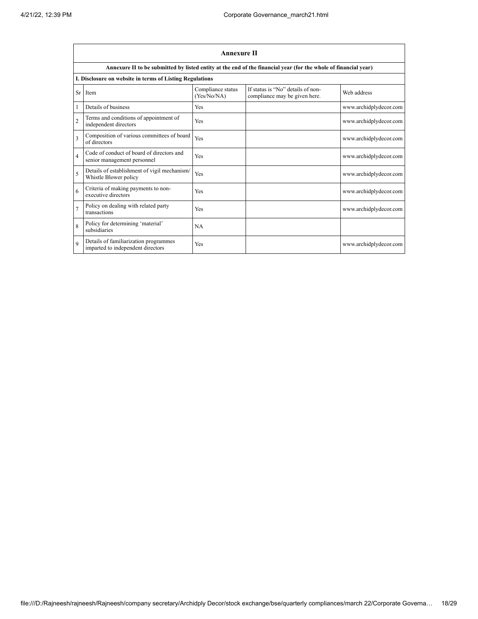|                | <b>Annexure II</b>                                                         |                                  |                                                                                                                 |                        |  |  |  |
|----------------|----------------------------------------------------------------------------|----------------------------------|-----------------------------------------------------------------------------------------------------------------|------------------------|--|--|--|
|                |                                                                            |                                  | Annexure II to be submitted by listed entity at the end of the financial year (for the whole of financial year) |                        |  |  |  |
|                | I. Disclosure on website in terms of Listing Regulations                   |                                  |                                                                                                                 |                        |  |  |  |
| <b>Sr</b>      | Item                                                                       | Compliance status<br>(Yes/No/NA) | If status is "No" details of non-<br>compliance may be given here.                                              | Web address            |  |  |  |
|                | Details of business                                                        | Yes                              |                                                                                                                 | www.archidplydecor.com |  |  |  |
| $\overline{2}$ | Terms and conditions of appointment of<br>independent directors            | Yes                              |                                                                                                                 | www.archidplydecor.com |  |  |  |
| 3              | Composition of various committees of board<br>of directors                 | Yes                              |                                                                                                                 | www.archidplydecor.com |  |  |  |
| $\overline{4}$ | Code of conduct of board of directors and<br>senior management personnel   | Yes                              |                                                                                                                 | www.archidplydecor.com |  |  |  |
| 5              | Details of establishment of vigil mechanism/<br>Whistle Blower policy      | Yes                              |                                                                                                                 | www.archidplydecor.com |  |  |  |
| 6              | Criteria of making payments to non-<br>executive directors                 | Yes                              |                                                                                                                 | www.archidplydecor.com |  |  |  |
| $\overline{7}$ | Policy on dealing with related party<br>transactions                       | Yes                              |                                                                                                                 | www.archidplydecor.com |  |  |  |
| 8              | Policy for determining 'material'<br>subsidiaries                          | NA                               |                                                                                                                 |                        |  |  |  |
| $\mathbf Q$    | Details of familiarization programmes<br>imparted to independent directors | Yes                              |                                                                                                                 | www.archidplydecor.com |  |  |  |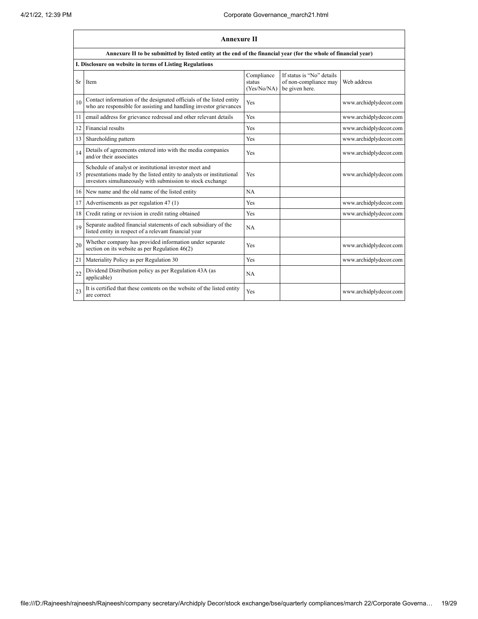|    | <b>Annexure II</b>                                                                                                                                                                           |                                     |                                                                      |                        |  |
|----|----------------------------------------------------------------------------------------------------------------------------------------------------------------------------------------------|-------------------------------------|----------------------------------------------------------------------|------------------------|--|
|    | Annexure II to be submitted by listed entity at the end of the financial year (for the whole of financial year)                                                                              |                                     |                                                                      |                        |  |
|    | I. Disclosure on website in terms of Listing Regulations                                                                                                                                     |                                     |                                                                      |                        |  |
| Sr | Item                                                                                                                                                                                         | Compliance<br>status<br>(Yes/No/NA) | If status is "No" details<br>of non-compliance may<br>be given here. | Web address            |  |
| 10 | Contact information of the designated officials of the listed entity<br>who are responsible for assisting and handling investor grievances                                                   | Yes                                 |                                                                      | www.archidplydecor.com |  |
| 11 | email address for grievance redressal and other relevant details                                                                                                                             | Yes                                 |                                                                      | www.archidplydecor.com |  |
| 12 | Financial results                                                                                                                                                                            | Yes                                 |                                                                      | www.archidplydecor.com |  |
| 13 | Shareholding pattern                                                                                                                                                                         | Yes                                 |                                                                      | www.archidplydecor.com |  |
| 14 | Details of agreements entered into with the media companies<br>and/or their associates                                                                                                       | Yes                                 |                                                                      | www.archidplydecor.com |  |
| 15 | Schedule of analyst or institutional investor meet and<br>presentations made by the listed entity to analysts or institutional<br>investors simultaneously with submission to stock exchange | Yes                                 |                                                                      | www.archidplydecor.com |  |
| 16 | New name and the old name of the listed entity                                                                                                                                               | NA                                  |                                                                      |                        |  |
| 17 | Advertisements as per regulation 47 (1)                                                                                                                                                      | Yes                                 |                                                                      | www.archidplydecor.com |  |
| 18 | Credit rating or revision in credit rating obtained                                                                                                                                          | Yes                                 |                                                                      | www.archidplydecor.com |  |
| 19 | Separate audited financial statements of each subsidiary of the<br>listed entity in respect of a relevant financial year                                                                     | NA                                  |                                                                      |                        |  |
| 20 | Whether company has provided information under separate<br>section on its website as per Regulation $46(2)$                                                                                  | Yes                                 |                                                                      | www.archidplydecor.com |  |
| 21 | Materiality Policy as per Regulation 30                                                                                                                                                      | Yes                                 |                                                                      | www.archidplydecor.com |  |
| 22 | Dividend Distribution policy as per Regulation 43A (as<br>applicable)                                                                                                                        | NA                                  |                                                                      |                        |  |
| 23 | It is certified that these contents on the website of the listed entity<br>are correct                                                                                                       | Yes                                 |                                                                      | www.archidplydecor.com |  |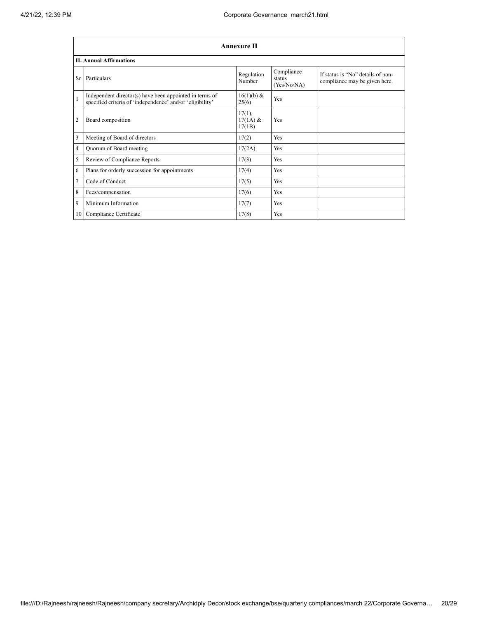|                | <b>Annexure II</b>                                                                                                   |                                   |                                     |                                                                    |  |  |
|----------------|----------------------------------------------------------------------------------------------------------------------|-----------------------------------|-------------------------------------|--------------------------------------------------------------------|--|--|
|                | <b>II. Annual Affirmations</b>                                                                                       |                                   |                                     |                                                                    |  |  |
| <b>Sr</b>      | Particulars                                                                                                          | Regulation<br>Number              | Compliance<br>status<br>(Yes/No/NA) | If status is "No" details of non-<br>compliance may be given here. |  |  |
| $\mathbf{1}$   | Independent director(s) have been appointed in terms of<br>specified criteria of 'independence' and/or 'eligibility' | 16(1)(b) &<br>25(6)               | Yes                                 |                                                                    |  |  |
| $\overline{2}$ | Board composition                                                                                                    | $17(1)$ ,<br>$17(1A)$ &<br>17(1B) | Yes                                 |                                                                    |  |  |
| 3              | Meeting of Board of directors                                                                                        | 17(2)                             | Yes                                 |                                                                    |  |  |
| 4              | Quorum of Board meeting                                                                                              | 17(2A)                            | Yes                                 |                                                                    |  |  |
| 5              | Review of Compliance Reports                                                                                         | 17(3)                             | Yes                                 |                                                                    |  |  |
| 6              | Plans for orderly succession for appointments                                                                        | 17(4)                             | Yes                                 |                                                                    |  |  |
| $\overline{7}$ | Code of Conduct                                                                                                      | 17(5)                             | Yes                                 |                                                                    |  |  |
| 8              | Fees/compensation                                                                                                    | 17(6)                             | Yes                                 |                                                                    |  |  |
| 9              | Minimum Information                                                                                                  | 17(7)                             | Yes                                 |                                                                    |  |  |
| 10             | Compliance Certificate                                                                                               | 17(8)                             | Yes                                 |                                                                    |  |  |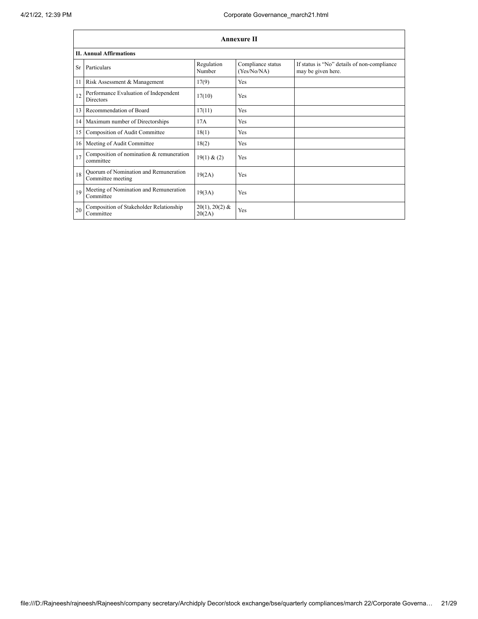|           | <b>Annexure II</b>                                         |                            |                                  |                                                                   |  |  |
|-----------|------------------------------------------------------------|----------------------------|----------------------------------|-------------------------------------------------------------------|--|--|
|           | <b>II. Annual Affirmations</b>                             |                            |                                  |                                                                   |  |  |
| <b>Sr</b> | Particulars                                                | Regulation<br>Number       | Compliance status<br>(Yes/No/NA) | If status is "No" details of non-compliance<br>may be given here. |  |  |
| 11        | Risk Assessment & Management                               | 17(9)                      | <b>Yes</b>                       |                                                                   |  |  |
| 12        | Performance Evaluation of Independent<br><b>Directors</b>  | 17(10)                     | Yes                              |                                                                   |  |  |
| 13        | Recommendation of Board                                    | 17(11)                     | <b>Yes</b>                       |                                                                   |  |  |
|           | 14 Maximum number of Directorships                         | 17A                        | Yes                              |                                                                   |  |  |
| 15        | Composition of Audit Committee                             | 18(1)                      | Yes                              |                                                                   |  |  |
| 16        | Meeting of Audit Committee                                 | 18(2)                      | Yes                              |                                                                   |  |  |
| 17        | Composition of nomination & remuneration<br>committee      | 19(1) & (2)                | Yes                              |                                                                   |  |  |
| 18        | Quorum of Nomination and Remuneration<br>Committee meeting | 19(2A)                     | Yes                              |                                                                   |  |  |
| 19        | Meeting of Nomination and Remuneration<br>Committee        | 19(3A)                     | Yes                              |                                                                   |  |  |
| 20        | Composition of Stakeholder Relationship<br>Committee       | $20(1), 20(2)$ &<br>20(2A) | Yes                              |                                                                   |  |  |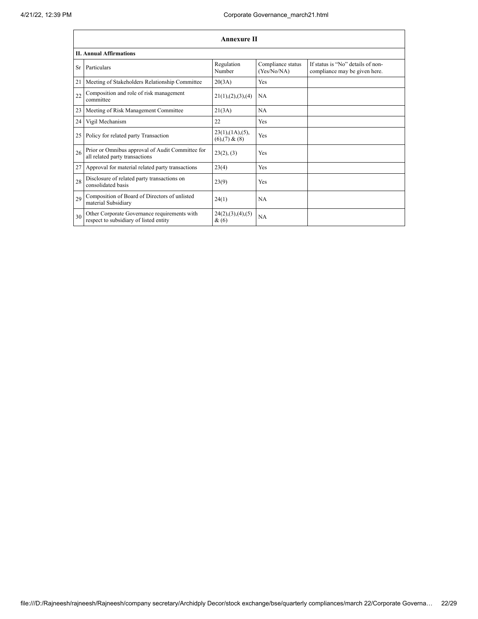|           | Annexure II                                                                            |                                                     |                                  |                                                                    |  |  |
|-----------|----------------------------------------------------------------------------------------|-----------------------------------------------------|----------------------------------|--------------------------------------------------------------------|--|--|
|           | <b>II. Annual Affirmations</b>                                                         |                                                     |                                  |                                                                    |  |  |
| <b>Sr</b> | Particulars                                                                            | Regulation<br>Number                                | Compliance status<br>(Yes/No/NA) | If status is "No" details of non-<br>compliance may be given here. |  |  |
| 21        | Meeting of Stakeholders Relationship Committee                                         | 20(3A)                                              | Yes                              |                                                                    |  |  |
| 22        | Composition and role of risk management<br>committee                                   | 21(1), (2), (3), (4)                                | <b>NA</b>                        |                                                                    |  |  |
| 23        | Meeting of Risk Management Committee                                                   | 21(3A)                                              | <b>NA</b>                        |                                                                    |  |  |
| 24        | Vigil Mechanism                                                                        | 22                                                  | Yes                              |                                                                    |  |  |
| 25        | Policy for related party Transaction                                                   | $23(1)$ , $(1A)$ , $(5)$ ,<br>$(6)$ , $(7)$ & $(8)$ | Yes                              |                                                                    |  |  |
| 26        | Prior or Omnibus approval of Audit Committee for<br>all related party transactions     | 23(2), (3)                                          | Yes                              |                                                                    |  |  |
| 27        | Approval for material related party transactions                                       | 23(4)                                               | Yes                              |                                                                    |  |  |
| 28        | Disclosure of related party transactions on<br>consolidated basis                      | 23(9)                                               | Yes                              |                                                                    |  |  |
| 29        | Composition of Board of Directors of unlisted<br>material Subsidiary                   | 24(1)                                               | <b>NA</b>                        |                                                                    |  |  |
| 30        | Other Corporate Governance requirements with<br>respect to subsidiary of listed entity | 24(2),(3),(4),(5)<br>$\&(6)$                        | NA                               |                                                                    |  |  |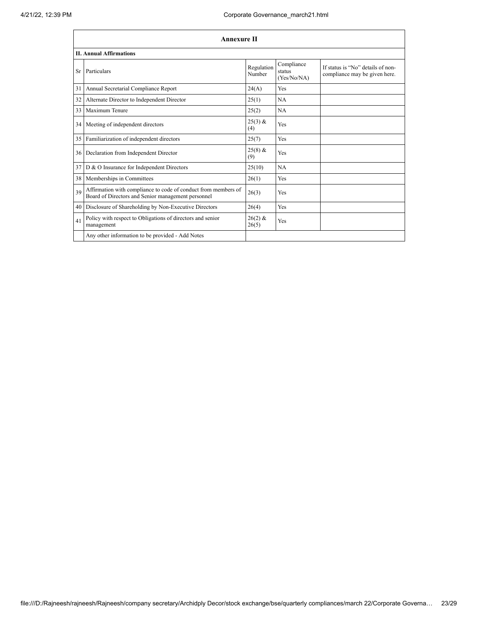|    | <b>Annexure II</b>                                                                                                   |                      |                                     |                                                                    |  |
|----|----------------------------------------------------------------------------------------------------------------------|----------------------|-------------------------------------|--------------------------------------------------------------------|--|
|    | <b>II. Annual Affirmations</b>                                                                                       |                      |                                     |                                                                    |  |
| Sr | Particulars                                                                                                          | Regulation<br>Number | Compliance<br>status<br>(Yes/No/NA) | If status is "No" details of non-<br>compliance may be given here. |  |
| 31 | Annual Secretarial Compliance Report                                                                                 | 24(A)                | Yes                                 |                                                                    |  |
| 32 | Alternate Director to Independent Director                                                                           | 25(1)                | <b>NA</b>                           |                                                                    |  |
| 33 | Maximum Tenure                                                                                                       | 25(2)                | NA                                  |                                                                    |  |
| 34 | Meeting of independent directors                                                                                     | $25(3)$ &<br>(4)     | Yes                                 |                                                                    |  |
| 35 | Familiarization of independent directors                                                                             | 25(7)                | Yes                                 |                                                                    |  |
| 36 | Declaration from Independent Director                                                                                | $25(8)$ &<br>(9)     | Yes                                 |                                                                    |  |
| 37 | D & O Insurance for Independent Directors                                                                            | 25(10)               | <b>NA</b>                           |                                                                    |  |
| 38 | Memberships in Committees                                                                                            | 26(1)                | Yes                                 |                                                                    |  |
| 39 | Affirmation with compliance to code of conduct from members of<br>Board of Directors and Senior management personnel | 26(3)                | Yes                                 |                                                                    |  |
| 40 | Disclosure of Shareholding by Non-Executive Directors                                                                | 26(4)                | Yes                                 |                                                                    |  |
| 41 | Policy with respect to Obligations of directors and senior<br>management                                             | $26(2)$ &<br>26(5)   | Yes                                 |                                                                    |  |
|    | Any other information to be provided - Add Notes                                                                     |                      |                                     |                                                                    |  |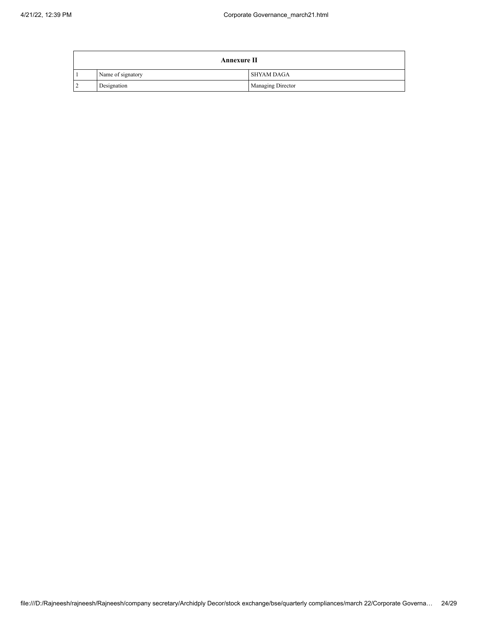| <b>Annexure II</b> |                   |  |  |  |
|--------------------|-------------------|--|--|--|
| Name of signatory  | <b>SHYAM DAGA</b> |  |  |  |
| Designation        | Managing Director |  |  |  |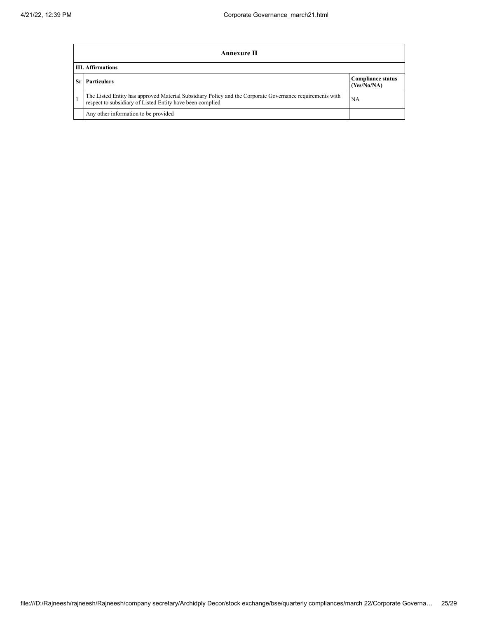| Annexure II                                                                                                                                                                 |                                         |  |  |  |  |  |
|-----------------------------------------------------------------------------------------------------------------------------------------------------------------------------|-----------------------------------------|--|--|--|--|--|
| <b>III.</b> Affirmations                                                                                                                                                    |                                         |  |  |  |  |  |
| <b>Sr</b> Particulars                                                                                                                                                       | <b>Compliance status</b><br>(Yes/No/NA) |  |  |  |  |  |
| The Listed Entity has approved Material Subsidiary Policy and the Corporate Governance requirements with<br>NA<br>respect to subsidiary of Listed Entity have been complied |                                         |  |  |  |  |  |
| Any other information to be provided                                                                                                                                        |                                         |  |  |  |  |  |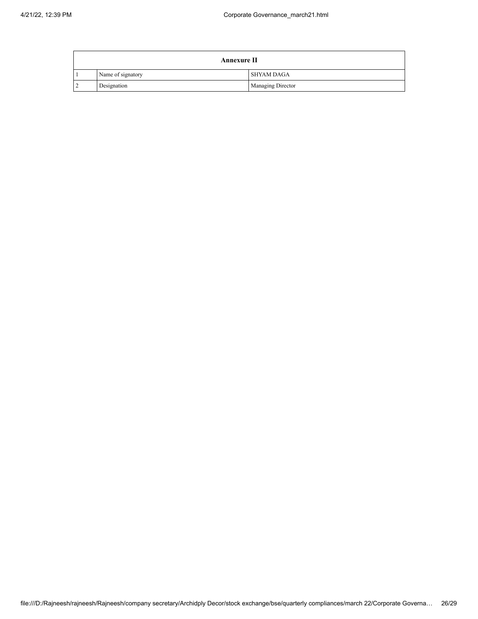| <b>Annexure II</b> |                          |  |  |  |
|--------------------|--------------------------|--|--|--|
| Name of signatory  | <b>SHYAM DAGA</b>        |  |  |  |
| Designation        | <b>Managing Director</b> |  |  |  |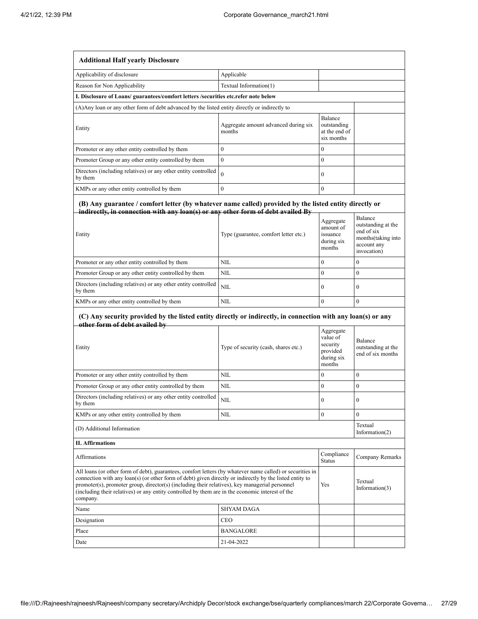| <b>Additional Half yearly Disclosure</b>                                                                                                                                                                                                                                                                                                                                                                                                |                                                |                                                                       |                                                                |  |
|-----------------------------------------------------------------------------------------------------------------------------------------------------------------------------------------------------------------------------------------------------------------------------------------------------------------------------------------------------------------------------------------------------------------------------------------|------------------------------------------------|-----------------------------------------------------------------------|----------------------------------------------------------------|--|
| Applicability of disclosure                                                                                                                                                                                                                                                                                                                                                                                                             | Applicable                                     |                                                                       |                                                                |  |
| Reason for Non Applicability                                                                                                                                                                                                                                                                                                                                                                                                            | Textual Information(1)                         |                                                                       |                                                                |  |
| I. Disclosure of Loans/ guarantees/comfort letters /securities etc.refer note below                                                                                                                                                                                                                                                                                                                                                     |                                                |                                                                       |                                                                |  |
| (A) Any loan or any other form of debt advanced by the listed entity directly or indirectly to                                                                                                                                                                                                                                                                                                                                          |                                                |                                                                       |                                                                |  |
| Entity                                                                                                                                                                                                                                                                                                                                                                                                                                  | Aggregate amount advanced during six<br>months | Balance<br>outstanding<br>at the end of<br>six months                 |                                                                |  |
| Promoter or any other entity controlled by them                                                                                                                                                                                                                                                                                                                                                                                         | $\overline{0}$                                 | $\bf{0}$                                                              |                                                                |  |
| Promoter Group or any other entity controlled by them                                                                                                                                                                                                                                                                                                                                                                                   | $\mathbf{0}$                                   | $\overline{0}$                                                        |                                                                |  |
| Directors (including relatives) or any other entity controlled<br>by them                                                                                                                                                                                                                                                                                                                                                               | $\overline{0}$                                 | $\bf{0}$                                                              |                                                                |  |
| KMPs or any other entity controlled by them                                                                                                                                                                                                                                                                                                                                                                                             | $\boldsymbol{0}$                               | $\mathbf{0}$                                                          |                                                                |  |
| (B) Any guarantee / comfort letter (by whatever name called) provided by the listed entity directly or<br>indirectly, in connection with any loan(s) or any other form of debt availed By<br>Balance<br>Aggregate<br>outstanding at the                                                                                                                                                                                                 |                                                |                                                                       |                                                                |  |
| Entity                                                                                                                                                                                                                                                                                                                                                                                                                                  | Type (guarantee, comfort letter etc.)          | amount of<br>issuance<br>during six<br>months                         | end of six<br>months(taking into<br>account any<br>invocation) |  |
| Promoter or any other entity controlled by them                                                                                                                                                                                                                                                                                                                                                                                         | <b>NIL</b>                                     | $\mathbf{0}$                                                          | $\mathbf{0}$                                                   |  |
| Promoter Group or any other entity controlled by them                                                                                                                                                                                                                                                                                                                                                                                   | <b>NIL</b>                                     | $\mathbf{0}$                                                          | $\mathbf{0}$                                                   |  |
| Directors (including relatives) or any other entity controlled<br>by them                                                                                                                                                                                                                                                                                                                                                               | <b>NIL</b>                                     | $\bf{0}$                                                              | $\mathbf{0}$                                                   |  |
| KMPs or any other entity controlled by them                                                                                                                                                                                                                                                                                                                                                                                             | NIL                                            | $\theta$                                                              | $\mathbf{0}$                                                   |  |
| (C) Any security provided by the listed entity directly or indirectly, in connection with any loan(s) or any                                                                                                                                                                                                                                                                                                                            |                                                |                                                                       |                                                                |  |
| other form of debt availed by                                                                                                                                                                                                                                                                                                                                                                                                           |                                                |                                                                       |                                                                |  |
| Entity                                                                                                                                                                                                                                                                                                                                                                                                                                  | Type of security (cash, shares etc.)           | Aggregate<br>value of<br>security<br>provided<br>during six<br>months | Balance<br>outstanding at the<br>end of six months             |  |
| Promoter or any other entity controlled by them                                                                                                                                                                                                                                                                                                                                                                                         | <b>NIL</b>                                     | $\bf{0}$                                                              | $\boldsymbol{0}$                                               |  |
| Promoter Group or any other entity controlled by them                                                                                                                                                                                                                                                                                                                                                                                   | NIL                                            | 0                                                                     | $\boldsymbol{0}$                                               |  |
| Directors (including relatives) or any other entity controlled<br>by them                                                                                                                                                                                                                                                                                                                                                               | NIL                                            | $\mathbf{0}$                                                          | $\theta$                                                       |  |
| KMPs or any other entity controlled by them                                                                                                                                                                                                                                                                                                                                                                                             | NIL                                            | $\bf{0}$                                                              | $\mathbf{0}$                                                   |  |
| (D) Additional Information                                                                                                                                                                                                                                                                                                                                                                                                              |                                                |                                                                       | Textual<br>Information $(2)$                                   |  |
| <b>II.</b> Affirmations                                                                                                                                                                                                                                                                                                                                                                                                                 |                                                |                                                                       |                                                                |  |
| Affirmations                                                                                                                                                                                                                                                                                                                                                                                                                            |                                                | Compliance<br><b>Status</b>                                           | Company Remarks                                                |  |
| All loans (or other form of debt), guarantees, comfort letters (by whatever name called) or securities in<br>connection with any loan(s) (or other form of debt) given directly or indirectly by the listed entity to<br>promoter(s), promoter group, director(s) (including their relatives), key managerial personnel<br>(including their relatives) or any entity controlled by them are in the economic interest of the<br>company. |                                                |                                                                       | Textual<br>Information $(3)$                                   |  |
| Name                                                                                                                                                                                                                                                                                                                                                                                                                                    | SHYAM DAGA                                     |                                                                       |                                                                |  |
|                                                                                                                                                                                                                                                                                                                                                                                                                                         |                                                |                                                                       |                                                                |  |
| Designation                                                                                                                                                                                                                                                                                                                                                                                                                             | CEO                                            |                                                                       |                                                                |  |
| Place                                                                                                                                                                                                                                                                                                                                                                                                                                   | BANGALORE                                      |                                                                       |                                                                |  |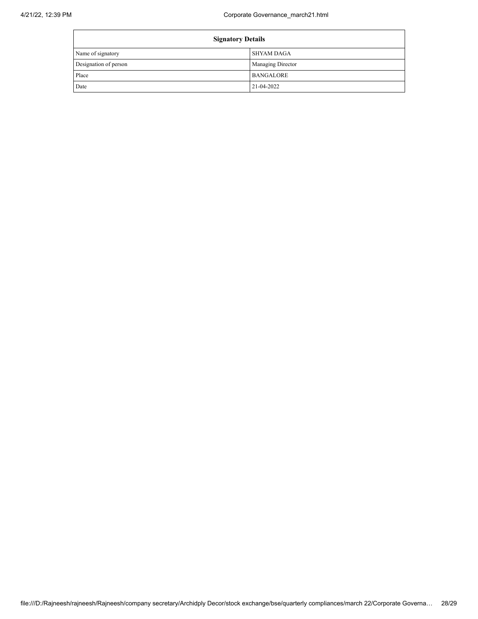| <b>Signatory Details</b> |                   |  |
|--------------------------|-------------------|--|
| Name of signatory        | <b>SHYAM DAGA</b> |  |
| Designation of person    | Managing Director |  |
| Place                    | <b>BANGALORE</b>  |  |
| Date                     | 21-04-2022        |  |